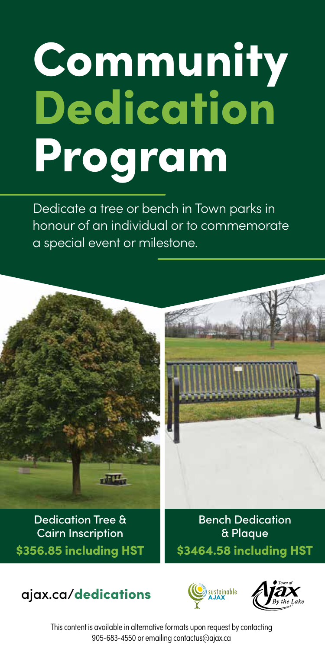# Community Dedication Program

Dedicate a tree or bench in Town parks in honour of an individual or to commemorate a special event or milestone.

Dedication Tree & Cairn Inscription \$356.85 including HST

Bench Dedication & Plaque \$3464.58 including HST

## ajax.ca/dedications





This content is available in alternative formats upon request by contacting 905-683-4550 or emailing contactus@ajax.ca